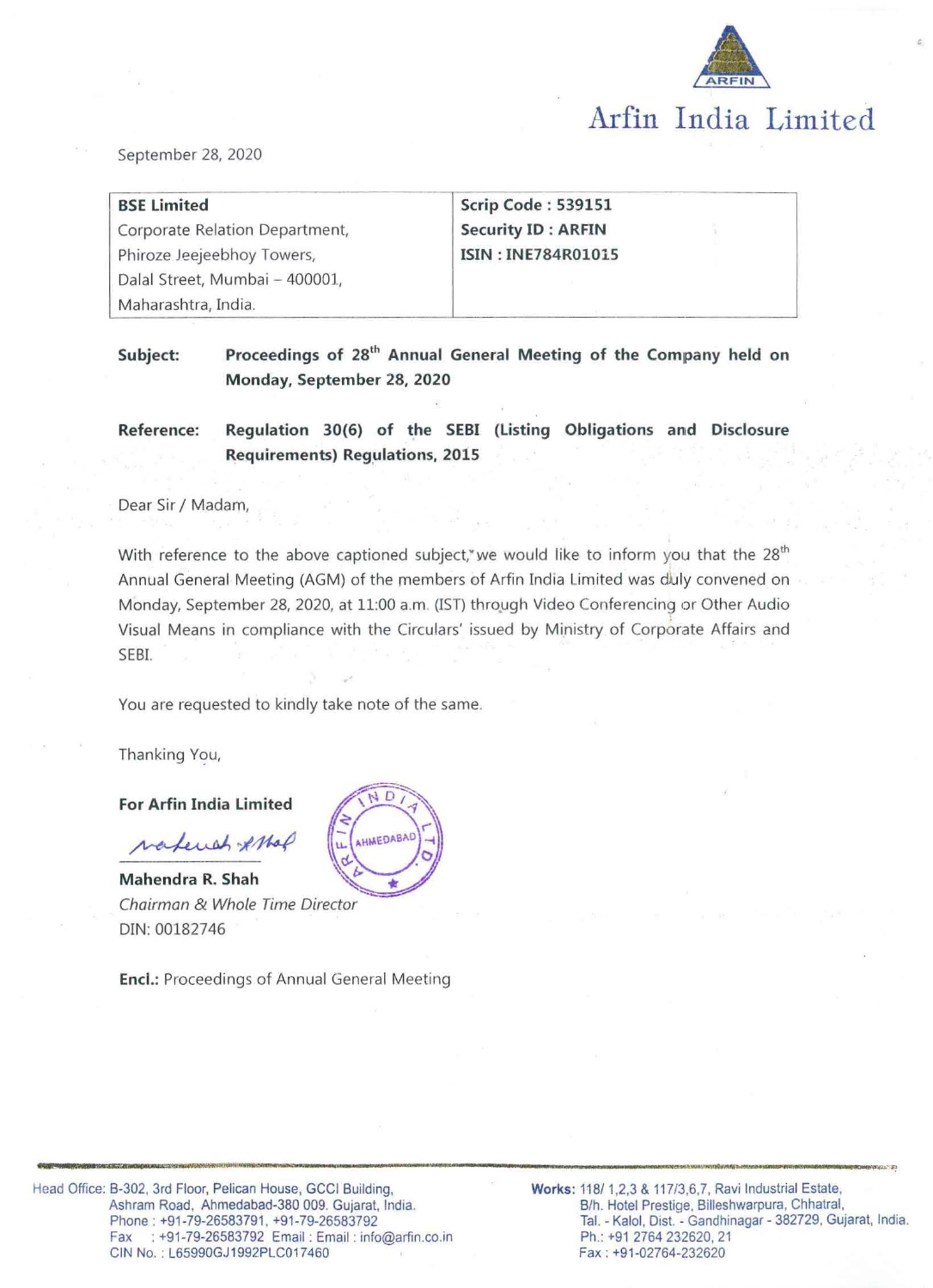

September 28, 2020

| <b>BSE Limited</b>              | Scrip Code: 539151        |  |
|---------------------------------|---------------------------|--|
| Corporate Relation Department,  | <b>Security ID: ARFIN</b> |  |
| Phiroze Jeejeebhoy Towers,      | <b>ISIN: INE784R01015</b> |  |
| Dalal Street, Mumbai - 400001., |                           |  |
| Maharashtra, India.             |                           |  |

Subject: Proceedings of 28<sup>th</sup> Annual General Meeting of the Company held on **Monday, September 28, 2020** 

**Reference: Regulation 30(6) of the SEBI (Listing Obligations and Disclosure Requirements) Regulations, 2015** 

Dear Sir / Madam,

With reference to the above captioned subject, we would like to inform you that the  $28<sup>th</sup>$ Annual General Meeting (AGM) of the members of Arfin India Limited was duly convened on Monday, September 28, 2020, at 11:00 a.m. (IST) through Video Conferencing or Other Audio Visual Means in compliance with the Circulars' issued by Ministry of Corporate Affairs and SEBI.

**•••--••----m••.\_\_..\_..., •• .,...\_....,......,..,\_,,,\_ \_\_\_\_\_\_\_\_\_\_\_\_\_\_ ..\_ \_\_\_\_\_\_\_\_\_\_\_\_\_\_\_\_** ~-----•-.. **..... -.\_..\_.. \_\_\_\_\_\_** ...,,\_\_.- <sup>~</sup>

You are requested to kindly take note of the same.

Thanking You,

#### **For Arfin India Limited**

valeust AMal

**Mahendra R. Shah**  Chairman & Whole Time Director DIN: 00182746

**Encl.:** Proceedings of Annual General Meeting

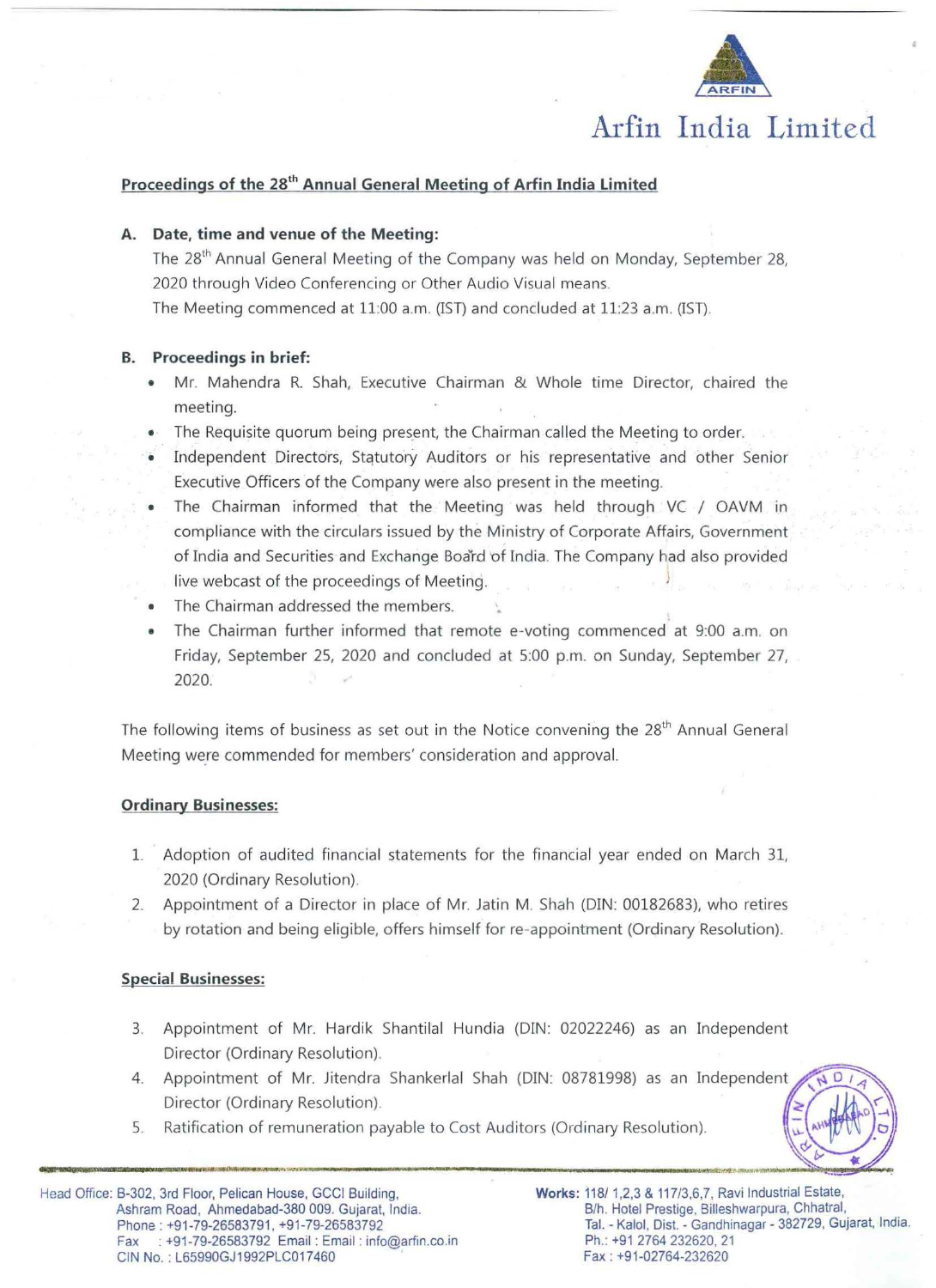

# **Arfin India Limited**

# Proceedings of the 28<sup>th</sup> Annual General Meeting of Arfin India Limited

#### **A. Date, time and venue of the Meeting:**

The 28<sup>th</sup> Annual General Meeting of the Company was held on Monday, September 28, 2020 through Video Conferencing or Other Audio Visual means. The Meeting commenced at 11:00 a.m. (!ST) and concluded at 11:23 a.m. (IST).

## **B. Proceedings in brief:**

- Mr. Mahendra R. Shah, Executive Chairman & Whole time Director, chaired the meeting.
- The Requisite quorum being present, the Chairman called the Meeting to order.
- Independent Directors, Statutory Auditors or his representative and other Senior Executive Officers of the Company were also present in the meeting.
- The Chairman informed that the Meeting was held through VC / OAVM in compliance with the circulars issued by the Ministry of Corporate Affairs, Government of India and Securities and Exchange Board of India. The Company had also provided live webcast of the proceedings of Meeting.
- The Chairman addressed the members.
- The Chairman further informed that remote e-voting commenced at 9:00 a.m. on Friday, September 25, 2020 and concluded at 5:00 p.m. on Sunday, September 27, 2020.

The following items of business as set out in the Notice convening the 28<sup>th</sup> Annual General Meeting were commended for members' consideration and approval.

# **Ordinary Businesses:**

- 1. Adoption of audited financial statements for the financial year ended on March 31, 2020 (Ordinary Resolution).
- 2. Appointment of a Director in place of Mr. Jatin M. Shah (DIN: 00132633), who retires by rotation and being eligible, offers himself for re-appointment (Ordinary Resolution).

# **Special Businesses:**

- 3. Appointment of Mr. Hardik Shantilal Hundia (DIN: 02022246) as an Independent Director (Ordinary Resolution).
- 4. Appointment of Mr. Jitendra Shankerlal Shah (DIN: 08781998) as an Independent Director (Ordinary Resolution)
- 5. Ratification of remuneration payable to Cost Auditors (Ordinary Resolution).